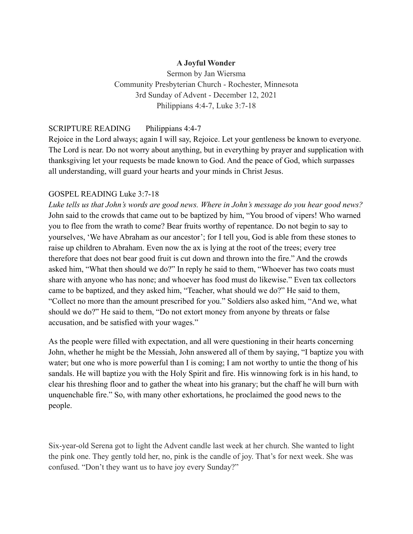### **A Joyful Wonder**

Sermon by Jan Wiersma Community Presbyterian Church - Rochester, Minnesota 3rd Sunday of Advent - December 12, 2021 Philippians 4:4-7, Luke 3:7-18

### SCRIPTURE READING Philippians 4:4-7

Rejoice in the Lord always; again I will say, Rejoice. Let your gentleness be known to everyone. The Lord is near. Do not worry about anything, but in everything by prayer and supplication with thanksgiving let your requests be made known to God. And the peace of God, which surpasses all understanding, will guard your hearts and your minds in Christ Jesus.

#### GOSPEL READING Luke 3:7-18

*Luke tells us that John's words are good news. Where in John's message do you hear good news?* John said to the crowds that came out to be baptized by him, "You brood of vipers! Who warned you to flee from the wrath to come? Bear fruits worthy of repentance. Do not begin to say to yourselves, 'We have Abraham as our ancestor'; for I tell you, God is able from these stones to raise up children to Abraham. Even now the ax is lying at the root of the trees; every tree therefore that does not bear good fruit is cut down and thrown into the fire." And the crowds asked him, "What then should we do?" In reply he said to them, "Whoever has two coats must share with anyone who has none; and whoever has food must do likewise." Even tax collectors came to be baptized, and they asked him, "Teacher, what should we do?" He said to them, "Collect no more than the amount prescribed for you." Soldiers also asked him, "And we, what should we do?" He said to them, "Do not extort money from anyone by threats or false accusation, and be satisfied with your wages."

As the people were filled with expectation, and all were questioning in their hearts concerning John, whether he might be the Messiah, John answered all of them by saying, "I baptize you with water; but one who is more powerful than I is coming; I am not worthy to untie the thong of his sandals. He will baptize you with the Holy Spirit and fire. His winnowing fork is in his hand, to clear his threshing floor and to gather the wheat into his granary; but the chaff he will burn with unquenchable fire." So, with many other exhortations, he proclaimed the good news to the people.

Six-year-old Serena got to light the Advent candle last week at her church. She wanted to light the pink one. They gently told her, no, pink is the candle of joy. That's for next week. She was confused. "Don't they want us to have joy every Sunday?"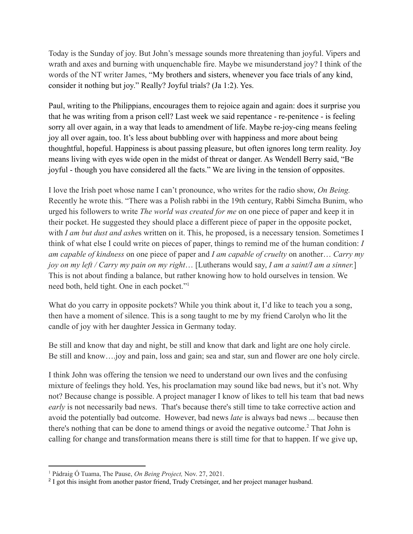Today is the Sunday of joy. But John's message sounds more threatening than joyful. Vipers and wrath and axes and burning with unquenchable fire. Maybe we misunderstand joy? I think of the words of the NT writer James, "My brothers and sisters, whenever you face trials of any kind, consider it nothing but joy." Really? Joyful trials? (Ja 1:2). Yes.

Paul, writing to the Philippians, encourages them to rejoice again and again: does it surprise you that he was writing from a prison cell? Last week we said repentance - re-penitence - is feeling sorry all over again, in a way that leads to amendment of life. Maybe re-joy-cing means feeling joy all over again, too. It's less about bubbling over with happiness and more about being thoughtful, hopeful. Happiness is about passing pleasure, but often ignores long term reality. Joy means living with eyes wide open in the midst of threat or danger. As Wendell Berry said, "Be joyful - though you have considered all the facts." We are living in the tension of opposites.

I love the Irish poet whose name I can't pronounce, who writes for the radio show, *On Being.* Recently he wrote this. "There was a Polish rabbi in the 19th century, Rabbi Simcha Bunim, who urged his followers to write *The world was created for me* on one piece of paper and keep it in their pocket. He suggested they should place a different piece of paper in the opposite pocket, with *I am but dust and ashes* written on it. This, he proposed, is a necessary tension. Sometimes I think of what else I could write on pieces of paper, things to remind me of the human condition: *I am capable of kindness* on one piece of paper and *I am capable of cruelty* on another… *Carry my joy on my left / Carry my pain on my right*… [Lutherans would say, *I am a saint/I am a sinner.*] This is not about finding a balance, but rather knowing how to hold ourselves in tension. We need both, held tight. One in each pocket."<sup>1</sup>

What do you carry in opposite pockets? While you think about it, I'd like to teach you a song, then have a moment of silence. This is a song taught to me by my friend Carolyn who lit the candle of joy with her daughter Jessica in Germany today.

Be still and know that day and night, be still and know that dark and light are one holy circle. Be still and know….joy and pain, loss and gain; sea and star, sun and flower are one holy circle.

I think John was offering the tension we need to understand our own lives and the confusing mixture of feelings they hold. Yes, his proclamation may sound like bad news, but it's not. Why not? Because change is possible. A project manager I know of likes to tell his team that bad news *early* is not necessarily bad news. That's because there's still time to take corrective action and avoid the potentially bad outcome. However, bad news *late* is always bad news ... because then there's nothing that can be done to amend things or avoid the negative outcome.<sup>2</sup> That John is calling for change and transformation means there is still time for that to happen. If we give up,

<sup>1</sup> Pádraig Ó Tuama, The Pause, *On Being Project,* Nov. 27, 2021.

<sup>&</sup>lt;sup>2</sup> I got this insight from another pastor friend, Trudy Cretsinger, and her project manager husband.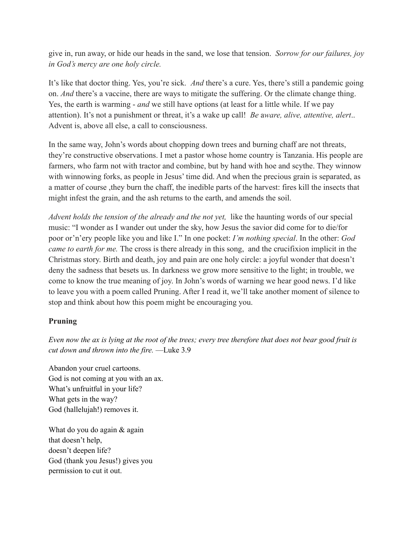give in, run away, or hide our heads in the sand, we lose that tension. *Sorrow for our failures, joy in God's mercy are one holy circle.*

It's like that doctor thing. Yes, you're sick. *And* there's a cure. Yes, there's still a pandemic going on. *And* there's a vaccine, there are ways to mitigate the suffering. Or the climate change thing. Yes, the earth is warming - *and* we still have options (at least for a little while. If we pay attention). It's not a punishment or threat, it's a wake up call! *Be* a*ware, alive, attentive, alert*.. Advent is, above all else, a call to consciousness.

In the same way, John's words about chopping down trees and burning chaff are not threats, they're constructive observations. I met a pastor whose home country is Tanzania. His people are farmers, who farm not with tractor and combine, but by hand with hoe and scythe. They winnow with winnowing forks, as people in Jesus' time did. And when the precious grain is separated, as a matter of course ,they burn the chaff, the inedible parts of the harvest: fires kill the insects that might infest the grain, and the ash returns to the earth, and amends the soil.

*Advent holds the tension of the already and the not yet,* like the haunting words of our special music: "I wonder as I wander out under the sky, how Jesus the savior did come for to die/for poor or'n'ery people like you and like I." In one pocket: *I'm nothing special*. In the other: *God came to earth for me.* The cross is there already in this song, and the crucifixion implicit in the Christmas story. Birth and death, joy and pain are one holy circle: a joyful wonder that doesn't deny the sadness that besets us. In darkness we grow more sensitive to the light; in trouble, we come to know the true meaning of joy. In John's words of warning we hear good news. I'd like to leave you with a poem called Pruning. After I read it, we'll take another moment of silence to stop and think about how this poem might be encouraging you.

# **Pruning**

Even now the ax is lying at the root of the trees; every tree therefore that does not bear good fruit is *cut down and thrown into the fire.* —Luke 3.9

Abandon your cruel cartoons. God is not coming at you with an ax. What's unfruitful in your life? What gets in the way? God (hallelujah!) removes it.

What do you do again & again that doesn't help, doesn't deepen life? God (thank you Jesus!) gives you permission to cut it out.